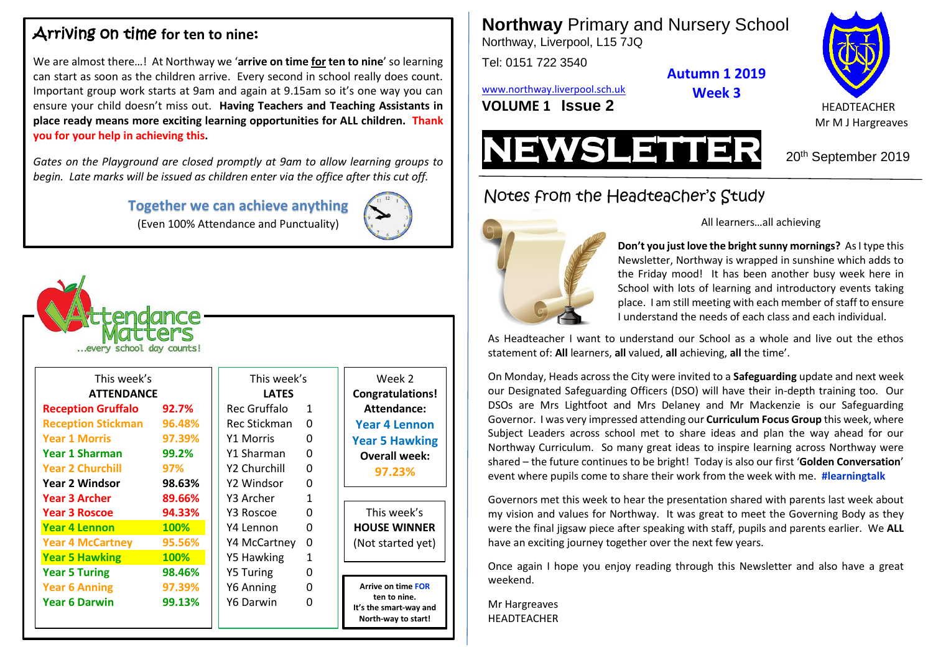## Arriving on time for ten to nine:

We are almost there…! At Northway we '**arrive on time for ten to nine**' so learning can start as soon as the children arrive. Every second in school really does count. Important group work starts at 9am and again at 9.15am so it's one way you can ensure your child doesn't miss out. **Having Teachers and Teaching Assistants in place ready means more exciting learning opportunities for ALL children. Thank you for your help in achieving this.**

*Gates on the Playground are closed promptly at 9am to allow learning groups to begin. Late marks will be issued as children enter via the office after this cut off.*

> **Together we can achieve anything** (Even 100% Attendance and Punctuality)



| <b>ittendance</b><br>atters<br>every school day counts! |        |  |                  |                |  |
|---------------------------------------------------------|--------|--|------------------|----------------|--|
| This week's                                             |        |  | This week's      |                |  |
| <b>ATTENDANCE</b>                                       |        |  | <b>LATES</b>     |                |  |
| <b>Reception Gruffalo</b>                               | 92.7%  |  | Rec Gruffalo     | $\mathbf{1}$   |  |
| <b>Reception Stickman</b>                               | 96.48% |  | Rec Stickman     | 0              |  |
| <b>Year 1 Morris</b>                                    | 97.39% |  | <b>Y1 Morris</b> | 0              |  |
| Year 1 Sharman                                          | 99.2%  |  | Y1 Sharman       | 0              |  |
| <b>Year 2 Churchill</b>                                 | 97%    |  | Y2 Churchill     | 0              |  |
| <b>Year 2 Windsor</b>                                   | 98.63% |  | Y2 Windsor       | 0              |  |
| <b>Year 3 Archer</b>                                    | 89.66% |  | Y3 Archer        | $\overline{1}$ |  |
| <b>Year 3 Roscoe</b>                                    | 94.33% |  | Y3 Roscoe        | 0              |  |
| <b>Year 4 Lennon</b>                                    | 100%   |  | Y4 Lennon        | 0              |  |
| <b>Year 4 McCartney</b>                                 | 95.56% |  | Y4 McCartney     | 0              |  |
| <b>Year 5 Hawking</b>                                   | 100%   |  | Y5 Hawking       | $\overline{1}$ |  |
| <b>Year 5 Turing</b>                                    | 98.46% |  | <b>Y5 Turing</b> | 0              |  |
| <b>Year 6 Anning</b>                                    | 97.39% |  | Y6 Anning        | 0              |  |
| <b>Year 6 Darwin</b>                                    | 99.13% |  | Y6 Darwin        | 0              |  |

Week 2 **Congratulations! Attendance: Year 4 Lennon Year 5 Hawking Overall week: 97.23%**

This week's **HOUSE WINNER** (Not started yet)

**Arrive on time FOR ten to nine. It's the smart-way and North-way to start!**

**Northway** Primary and Nursery School Northway, Liverpool, L15 7JQ

Tel: 0151 722 3540

**Autumn 1 2019**

**Week 3**

[www.northway.liverpool.sch.uk](http://www.northway.liverpool.sch.uk/)

**VOLUME 1 SSUE 2** HEADTEACHER



Mr M J Hargreaves



# Notes from the Headteacher's Study



All learners…all achieving

**Don't you just love the bright sunny mornings?** As I type this Newsletter, Northway is wrapped in sunshine which adds to the Friday mood! It has been another busy week here in School with lots of learning and introductory events taking place. I am still meeting with each member of staff to ensure I understand the needs of each class and each individual.

As Headteacher I want to understand our School as a whole and live out the ethos statement of: **All** learners, **all** valued, **all** achieving, **all** the time'.

On Monday, Heads across the City were invited to a **Safeguarding** update and next week our Designated Safeguarding Officers (DSO) will have their in-depth training too. Our DSOs are Mrs Lightfoot and Mrs Delaney and Mr Mackenzie is our Safeguarding Governor. I was very impressed attending our **Curriculum Focus Group** this week, where Subject Leaders across school met to share ideas and plan the way ahead for our Northway Curriculum. So many great ideas to inspire learning across Northway were shared – the future continues to be bright! Today is also our first '**Golden Conversation**' event where pupils come to share their work from the week with me. **#learningtalk**

Governors met this week to hear the presentation shared with parents last week about my vision and values for Northway. It was great to meet the Governing Body as they were the final jigsaw piece after speaking with staff, pupils and parents earlier. We **ALL** have an exciting journey together over the next few years.

Once again I hope you enjoy reading through this Newsletter and also have a great weekend.

Mr Hargreaves HEADTEACHER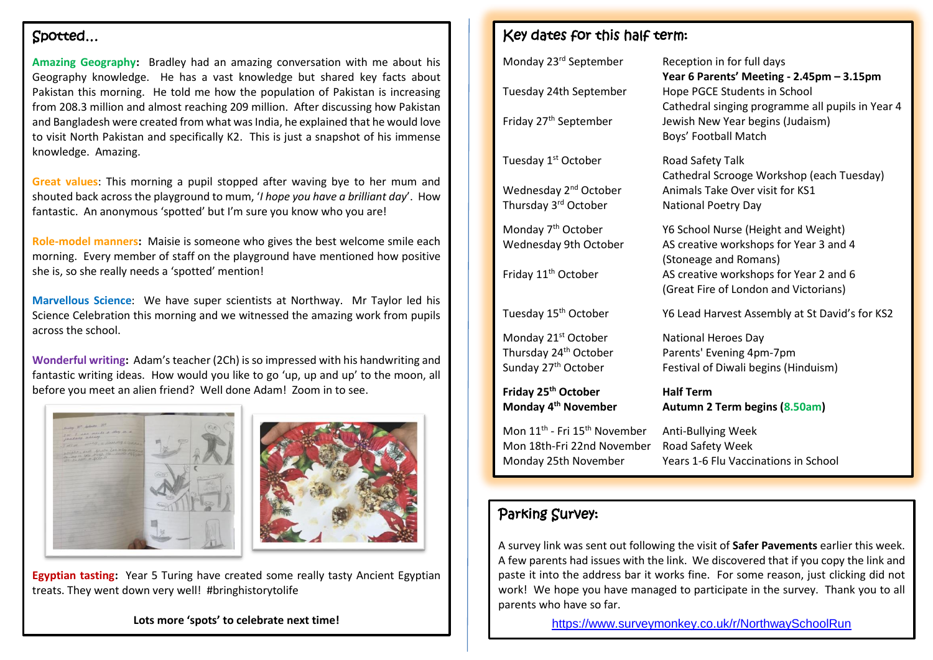#### Spotted…

**Amazing Geography:** Bradley had an amazing conversation with me about his Geography knowledge. He has a vast knowledge but shared key facts about Pakistan this morning. He told me how the population of Pakistan is increasing from 208.3 million and almost reaching 209 million. After discussing how Pakistan and Bangladesh were created from what was India, he explained that he would love to visit North Pakistan and specifically K2. This is just a snapshot of his immense knowledge. Amazing.

**Great values**: This morning a pupil stopped after waving bye to her mum and shouted back across the playground to mum, '*I hope you have a brilliant day*'. How fantastic. An anonymous 'spotted' but I'm sure you know who you are!

**Role-model manners:** Maisie is someone who gives the best welcome smile each morning. Every member of staff on the playground have mentioned how positive she is, so she really needs a 'spotted' mention!

**Marvellous Science**: We have super scientists at Northway. Mr Taylor led his Science Celebration this morning and we witnessed the amazing work from pupils across the school.

**Wonderful writing:** Adam's teacher (2Ch) is so impressed with his handwriting and fantastic writing ideas. How would you like to go 'up, up and up' to the moon, all before you meet an alien friend? Well done Adam! Zoom in to see.





**Egyptian tasting:** Year 5 Turing have created some really tasty Ancient Egyptian treats. They went down very well! #bringhistorytolife

**Lots more 'spots' to celebrate next time!**

#### Key dates for this half term:

| Road Safety Talk<br>Cathedral Scrooge Workshop (each Tuesday)<br>Animals Take Over visit for KS1<br><b>National Poetry Day</b>                                                            |
|-------------------------------------------------------------------------------------------------------------------------------------------------------------------------------------------|
| Y6 School Nurse (Height and Weight)<br>AS creative workshops for Year 3 and 4<br>(Stoneage and Romans)<br>AS creative workshops for Year 2 and 6<br>(Great Fire of London and Victorians) |
| Y6 Lead Harvest Assembly at St David's for KS2                                                                                                                                            |
| <b>National Heroes Day</b><br>Parents' Evening 4pm-7pm<br>Festival of Diwali begins (Hinduism)                                                                                            |
| <b>Half Term</b><br>Autumn 2 Term begins (8.50am)                                                                                                                                         |
| Anti-Bullying Week<br>Road Safety Week<br>Years 1-6 Flu Vaccinations in School                                                                                                            |
|                                                                                                                                                                                           |

#### Parking Survey:

A survey link was sent out following the visit of **Safer Pavements** earlier this week. A few parents had issues with the link. We discovered that if you copy the link and paste it into the address bar it works fine. For some reason, just clicking did not work! We hope you have managed to participate in the survey. Thank you to all parents who have so far.

<https://www.surveymonkey.co.uk/r/NorthwaySchoolRun>